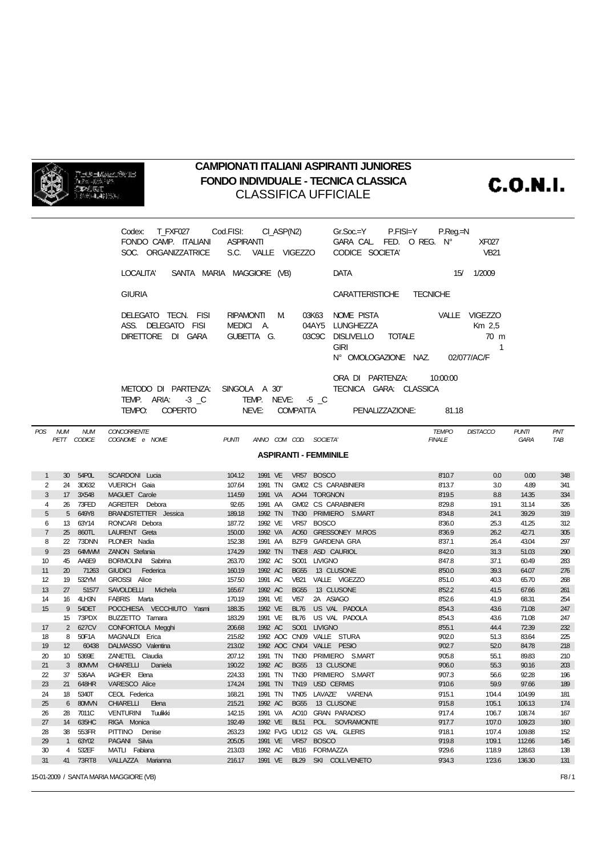

## **CAMPIONATI ITALIANI ASPIRANTI JUNIORES** FONDO INDIVIDUALE - TECNICA CLASSICA **CLASSIFICA UFFICIALE**

**C.O.N.I.** 

| T FXF027 Cod.FISI:<br>CI_ASP(N2)<br>Codex:                                                         | P.Reg.=N<br>Gr.Soc.=Y P.FISI=Y      |
|----------------------------------------------------------------------------------------------------|-------------------------------------|
| FONDO CAMP. ITALIANI ASPIRANTI                                                                     | GARA CAL FED. O REG. N°<br>XF027    |
| SOC. ORGANIZZATRICE S.C. VALLE VIGEZZO                                                             | CODICE SOCIETA'<br><b>VB21</b>      |
| SANTA MARIA MAGGIORE (VB)<br>LOCALITA'                                                             | 1/2009<br><b>DATA</b><br>15/        |
| <b>GIURIA</b>                                                                                      | CARATTERISTICHE<br><b>TECNICHE</b>  |
| RIPAMONTI<br>DELEGATO TECN. FISI<br>03K63<br>M                                                     | NOME PISTA<br>VALLE VIGEZZO         |
| ASS. DELEGATO FISI<br>MEDICI A.<br>04AY5                                                           | <b>LUNGHEZZA</b><br>Km 2,5          |
| DIRETTORE DI GARA<br>GUBETTA G.<br>03C9C                                                           | DISLIVELLO TOTALE<br>$70 \text{ m}$ |
|                                                                                                    | <b>GIRI</b><br>1                    |
|                                                                                                    | N° OMOLOGAZIONE NAZ.<br>02/077/AC/F |
|                                                                                                    | ORA DI PARTENZA:<br>10:00:00        |
| METODO DI PARTENZA:<br>SINGOLA A 30"                                                               | TECNICA GARA: CLASSICA              |
| TEMP. ARIA: 3 C<br>TEMP. NEVE: -5 C<br>NEVE:<br><b>COMPATTA</b><br><b>COPERTO</b><br><b>TEMPO:</b> | PENALIZZAZIONE:<br>81.18            |

| POS <sup>-</sup> | <b>NUM</b><br>PETT | NUM<br>CODICE | <b>CONCORRENTE</b><br>COGNOME e NOME | <b>PUNTI</b>     |                    |                  | ANNO COM COD. SOCIETA'         | <i><b>IEMPO</b></i><br><b>FINALE</b> | DISTACCO   | PUNII<br><b>GARA</b> | PNI<br>TAB |
|------------------|--------------------|---------------|--------------------------------------|------------------|--------------------|------------------|--------------------------------|--------------------------------------|------------|----------------------|------------|
|                  |                    |               |                                      |                  |                    |                  |                                |                                      |            |                      |            |
|                  |                    |               |                                      |                  |                    |                  | <b>ASPIRANTI - FEMMINILE</b>   |                                      |            |                      |            |
|                  | 30 <sup>1</sup>    | 54POL         | <b>SCARDONI</b> Lucia                | 104.12           | 1991 VE            |                  | VR57 BOSCO                     | 8'10.7                               | 0.0        | 0.00                 | 348        |
| $\mathbf{1}$     |                    | 3D632         |                                      |                  |                    |                  | <b>GM02 CS CARABINIERI</b>     |                                      |            |                      |            |
| 2<br>3           | 24<br>17           | 3X548         | <b>VUERICH Gaia</b><br>MAGUET Carole | 107.64<br>114.59 | 1991 TN<br>1991 VA |                  | AO44 TORGNON                   | 8'13.7<br>8'19.5                     | 3.0<br>8.8 | 4.89<br>14.35        | 341<br>334 |
| 4                | 26                 | 73FED         | AGREITER Debora                      | 92.65            | 1991 AA            |                  | <b>GM02 CS CARABINIERI</b>     | 8'29.8                               | 19.1       | 31.14                | 326        |
| 5                | 5                  | 649Y8         | BRANDSTETTER Jessica                 | 189.18           | 1992 TN            |                  | TN30 PRIMIERO S.MART           | 8'34.8                               | 24.1       | 39.29                | 319        |
| 6                | 13                 | 63Y14         | RONCARI Debora                       | 187.72           | 1992 VE            | <b>VR57</b>      | <b>BOSCO</b>                   | 8'36.0                               | 25.3       | 41.25                | 312        |
| $\overline{7}$   | 25                 | 860TL         | LAURENT Greta                        | 150.00           | 1992 VA            | AO <sub>50</sub> | <b>GRESSONEY M.ROS</b>         | 8'36.9                               | 26.2       | 42.71                | 305        |
| 8                | 22                 | 73DNN         | PLONER Nadia                         | 152.38           | 1991 AA            | BZF9             | <b>GARDENA GRA</b>             | 8'37.1                               | 26.4       | 43.04                | 297        |
| 9                | 23                 | 64MMM         | ZANON Stefania                       | 174.29           | 1992 TN            | TNE <sub>8</sub> | ASD CAURIOL                    | 8'42.0                               | 31.3       | 51.03                | 290        |
| 10               | 45                 | AA6E9         | BORMOLINI Sabrina                    | 263.70           | 1992 AC            | SO01             | <b>LIVIGNO</b>                 | 8'47.8                               | 37.1       | 60.49                | 283        |
| 11               | 20                 | 71263         | <b>GIUDICI</b><br>Federica           | 160.19           | 1992 AC            | <b>BG55</b>      | 13 CLUSONE                     | 8'50.0                               | 39.3       | 64.07                | 276        |
| 12               | 19                 | 532YM         | GROSSI Alice                         | 157.50           | 1991 AC            | <b>VB21</b>      | VALLE VIGEZZO                  | 8'51.0                               | 40.3       | 65.70                | 268        |
| 13               | 27                 | 51577         | <b>SAVOLDELLI</b><br>Michela         | 165.67           | 1992 AC            | <b>BG55</b>      | 13 CLUSONE                     | 8'52.2                               | 41.5       | 67.66                | 261        |
| 14               | 16                 | 4LH3N         | FABRIS Marta                         | 170.19           | 1991 VE            | <b>VI57</b>      | 2A ASIAGO                      | 8'52.6                               | 41.9       | 68.31                | 254        |
| 15               | 9                  | 54DET         | POCCHIESA VECCHIUTO Yasmi            | 188.35           | 1992 VE            | <b>BL76</b>      | US VAL PADOLA                  | 8'54.3                               | 43.6       | 71.08                | 247        |
|                  | 15                 | 73PDX         | BUZZETTO Tamara                      | 183.29           | 1991 VE            | <b>BL76</b>      | US VAL PADOLA                  | 8'54.3                               | 43.6       | 71.08                | 247        |
| 17               | 2                  | 627CV         | CONFORTOLA Megghi                    | 206.68           | 1992 AC            | SO01             | <b>LIVIGNO</b>                 | 8'55.1                               | 44.4       | 72.39                | 232        |
| 18               | 8                  | 50F1A         | MAGNALDI Erica                       | 215.82           |                    |                  | 1992 AOC CN09 VALLE STURA      | 9'02.0                               | 51.3       | 83.64                | 225        |
| 19               | 12                 | 60438         | DALMASSO Valentina                   | 213.02           |                    |                  | 1992 AOC CN04 VALLE PESIO      | 9'02.7                               | 52.0       | 84.78                | 218        |
| 20               | 10 <sup>°</sup>    | 5369E         | ZANETEL Claudia                      | 207.12           | 1991 TN            | <b>TN30</b>      | PRIMIERO S.MART                | 9'05.8                               | 55.1       | 89.83                | 210        |
| 21               | $\mathbf{3}$       | 80MMM         | <b>CHIARELLI</b><br>Daniela          | 190.22           | 1992 AC            | <b>BG55</b>      | 13 CLUSONE                     | 9'06.0                               | 55.3       | 90.16                | 203        |
| 22               | 37                 | 536AA         | IAGHER Elena                         | 224.33           | 1991 TN            | <b>TN30</b>      | PRIMIERO S.MART                | 9'07.3                               | 56.6       | 92.28                | 196        |
| 23               | 21                 | 648HR         | <b>VARESCO Alice</b>                 | 174.24           | 1991 TN            | <b>TN19</b>      | <b>USD CERMIS</b>              | 9'10.6                               | 59.9       | 97.66                | 189        |
| 24               | 18                 | 5340T         | CEOL Federica                        | 168.21           | 1991 TN            | <b>TN05</b>      | <b>LAVAZE</b><br><b>VARENA</b> | 9'15.1                               | 1'04.4     | 104.99               | 181        |
| 25               | 6                  | 80MMN         | <b>CHIARELLI</b><br>Elena            | 215.21           | 1992 AC            | <b>BG55</b>      | 13 CLUSONE                     | 9'15.8                               | 1'05.1     | 106.13               | 174        |
| 26               | 28                 | 7011C         | <b>VENTURINI</b><br>Tuulikki         | 142.15           | 1991 VA            | AO10             | <b>GRAN PARADISO</b>           | 9'17.4                               | 1'06.7     | 108.74               | 167        |
| 27               | 14                 | 635HC         | RIGA Monica                          | 192.49           | 1992 VE            | <b>BL51</b>      | POL. SOVRAMONTE                | 9'17.7                               | 1'07.0     | 109.23               | 160        |
| 28               | 38                 | 553FR         | <b>PITTINO</b><br>Denise             | 263.23           |                    | 1992 FVG UD12    | <b>GS VAL GLERIS</b>           | 9'18.1                               | 1'07.4     | 109.88               | 152        |
| 29               | $\mathbf{1}$       | 63Y02         | PAGANI Silvia                        | 205.05           | 1991 VE            | <b>VR57</b>      | <b>BOSCO</b>                   | 9'19.8                               | 1'09.1     | 112.66               | 145        |
| 30               | 4                  | 532EF         | MATLI Fabiana                        | 213.03           | 1992 AC            | <b>VB16</b>      | <b>FORMAZZA</b>                | 9'29.6                               | 1'18.9     | 128.63               | 138        |
| 31               | 41                 | 73RT8         | VALLAZZA Marianna                    | 216.17           | 1991 VE            | <b>BL29</b>      | SKI COLLVENETO                 | 9'34.3                               | 1'23.6     | 136.30               | 131        |
|                  |                    |               |                                      |                  |                    |                  |                                |                                      |            |                      |            |

15-01-2009 / SANTA MARIA MAGGIORE (VB)

 $F8/1$